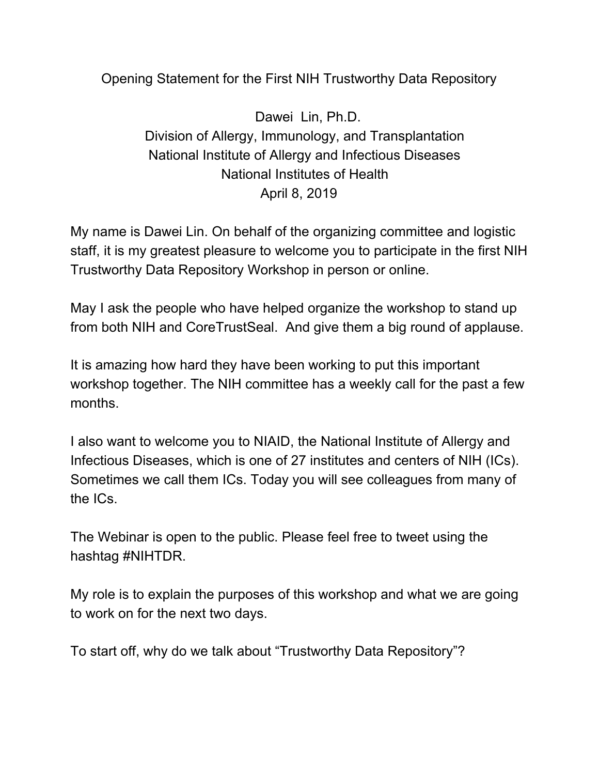## Opening Statement for the First NIH Trustworthy Data Repository

## April 8, 2019 Dawei Lin, Ph.D. Division of Allergy, Immunology, and Transplantation National Institute of Allergy and Infectious Diseases National Institutes of Health

 My name is Dawei Lin. On behalf of the organizing committee and logistic staff, it is my greatest pleasure to welcome you to participate in the first NIH Trustworthy Data Repository Workshop in person or online.

 May I ask the people who have helped organize the workshop to stand up from both NIH and CoreTrustSeal. And give them a big round of applause.

 It is amazing how hard they have been working to put this important workshop together. The NIH committee has a weekly call for the past a few months.

 I also want to welcome you to NIAID, the National Institute of Allergy and Infectious Diseases, which is one of 27 institutes and centers of NIH (ICs). Sometimes we call them ICs. Today you will see colleagues from many of the ICs.

 The Webinar is open to the public. Please feel free to tweet using the hashtag #NIHTDR.

 My role is to explain the purposes of this workshop and what we are going to work on for the next two days.

To start off, why do we talk about "Trustworthy Data Repository"?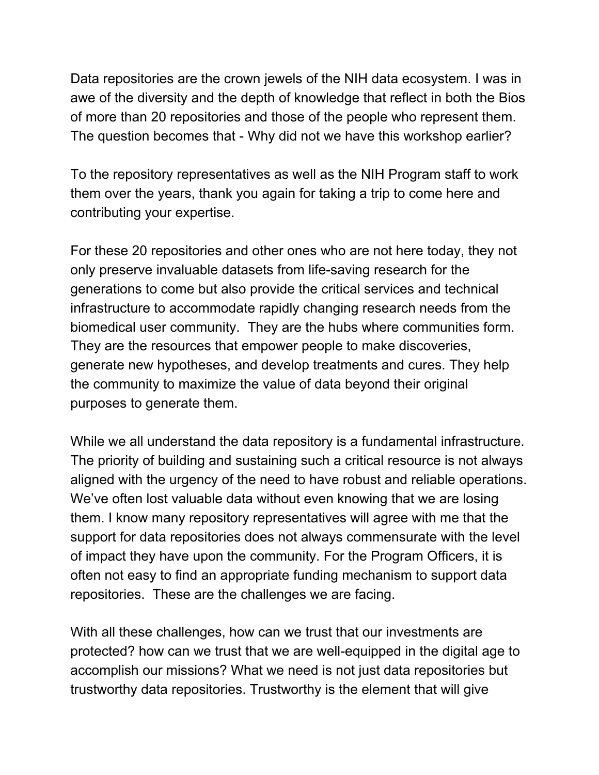Data repositories are the crown jewels of the NIH data ecosystem. I was in awe of the diversity and the depth of knowledge that reflect in both the Bios of more than 20 repositories and those of the people who represent them. The question becomes that - Why did not we have this workshop earlier?

 To the repository representatives as well as the NIH Program staff to work them over the years, thank you again for taking a trip to come here and contributing your expertise.

 For these 20 repositories and other ones who are not here today, they not only preserve invaluable datasets from life-saving research for the generations to come but also provide the critical services and technical infrastructure to accommodate rapidly changing research needs from the biomedical user community. They are the hubs where communities form. They are the resources that empower people to make discoveries, generate new hypotheses, and develop treatments and cures. They help the community to maximize the value of data beyond their original purposes to generate them.

 While we all understand the data repository is a fundamental infrastructure. The priority of building and sustaining such a critical resource is not always aligned with the urgency of the need to have robust and reliable operations. We've often lost valuable data without even knowing that we are losing them. I know many repository representatives will agree with me that the support for data repositories does not always commensurate with the level of impact they have upon the community. For the Program Officers, it is often not easy to find an appropriate funding mechanism to support data repositories. These are the challenges we are facing.

 With all these challenges, how can we trust that our investments are protected? how can we trust that we are well-equipped in the digital age to accomplish our missions? What we need is not just data repositories but trustworthy data repositories. Trustworthy is the element that will give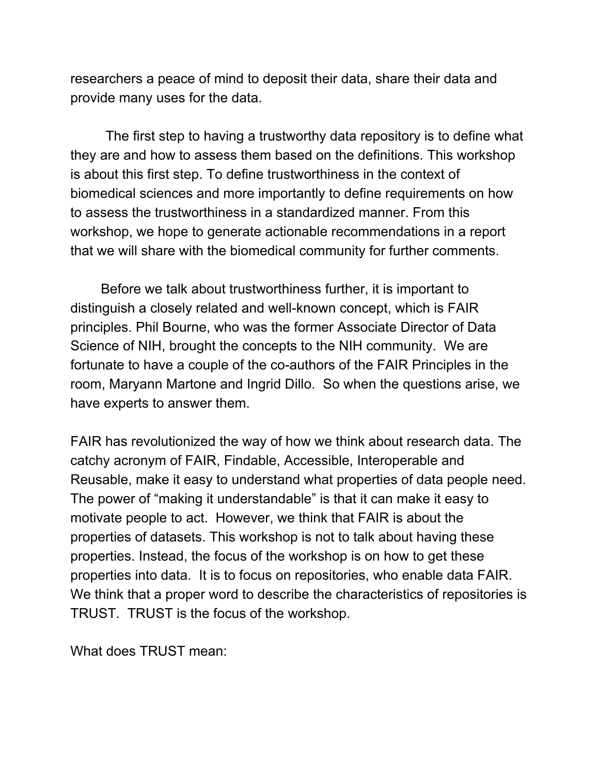researchers a peace of mind to deposit their data, share their data and provide many uses for the data.

 The first step to having a trustworthy data repository is to define what they are and how to assess them based on the definitions. This workshop is about this first step. To define trustworthiness in the context of biomedical sciences and more importantly to define requirements on how to assess the trustworthiness in a standardized manner. From this workshop, we hope to generate actionable recommendations in a report that we will share with the biomedical community for further comments.

 distinguish a closely related and well-known concept, which is FAIR principles. Phil Bourne, who was the former Associate Director of Data Science of NIH, brought the concepts to the NIH community. We are fortunate to have a couple of the co-authors of the FAIR Principles in the room, Maryann Martone and Ingrid Dillo. So when the questions arise, we have experts to answer them. Before we talk about trustworthiness further, it is important to

 FAIR has revolutionized the way of how we think about research data. The catchy acronym of FAIR, Findable, Accessible, Interoperable and Reusable, make it easy to understand what properties of data people need. The power of "making it understandable" is that it can make it easy to motivate people to act. However, we think that FAIR is about the properties of datasets. This workshop is not to talk about having these properties. Instead, the focus of the workshop is on how to get these properties into data. It is to focus on repositories, who enable data FAIR. We think that a proper word to describe the characteristics of repositories is TRUST. TRUST is the focus of the workshop.

What does TRUST mean: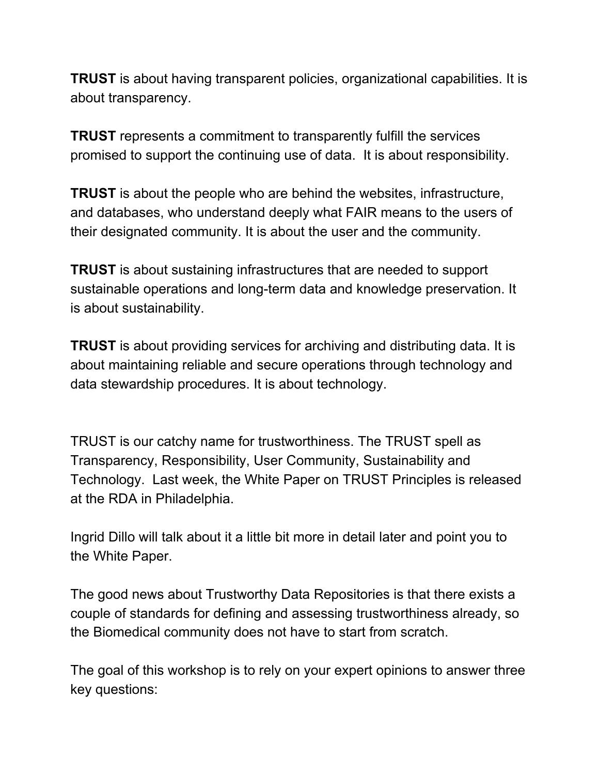**TRUST** is about having transparent policies, organizational capabilities. It is about transparency.

 **TRUST** represents a commitment to transparently fulfill the services promised to support the continuing use of data. It is about responsibility.

 **TRUST** is about the people who are behind the websites, infrastructure, and databases, who understand deeply what FAIR means to the users of their designated community. It is about the user and the community.

 **TRUST** is about sustaining infrastructures that are needed to support sustainable operations and long-term data and knowledge preservation. It is about sustainability.

 **TRUST** is about providing services for archiving and distributing data. It is about maintaining reliable and secure operations through technology and data stewardship procedures. It is about technology.

 TRUST is our catchy name for trustworthiness. The TRUST spell as Transparency, Responsibility, User Community, Sustainability and Technology. Last week, the White Paper on TRUST Principles is released at the RDA in Philadelphia.

 Ingrid Dillo will talk about it a little bit more in detail later and point you to the White Paper.

 The good news about Trustworthy Data Repositories is that there exists a couple of standards for defining and assessing trustworthiness already, so the Biomedical community does not have to start from scratch.

 The goal of this workshop is to rely on your expert opinions to answer three key questions: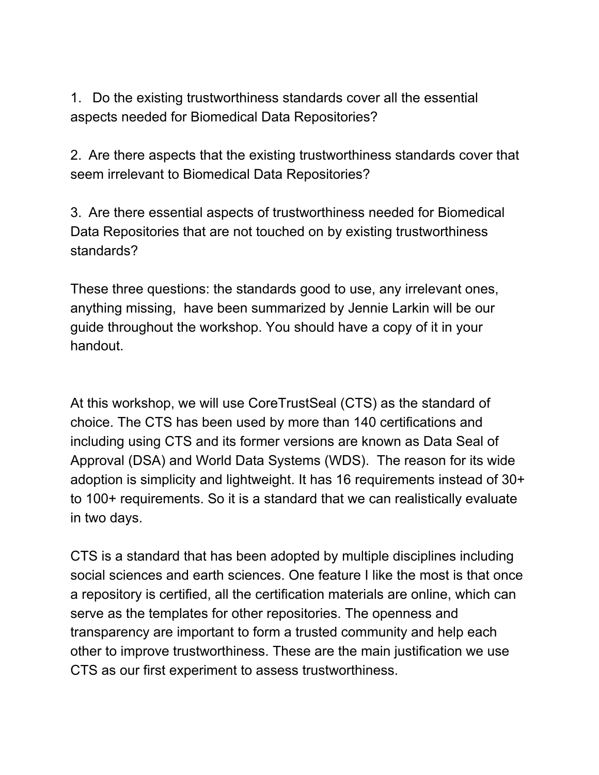1. Do the existing trustworthiness standards cover all the essential aspects needed for Biomedical Data Repositories?

 2. Are there aspects that the existing trustworthiness standards cover that seem irrelevant to Biomedical Data Repositories?

 3. Are there essential aspects of trustworthiness needed for Biomedical Data Repositories that are not touched on by existing trustworthiness standards?

 These three questions: the standards good to use, any irrelevant ones, anything missing, have been summarized by Jennie Larkin will be our guide throughout the workshop. You should have a copy of it in your handout.

 At this workshop, we will use CoreTrustSeal (CTS) as the standard of choice. The CTS has been used by more than 140 certifications and including using CTS and its former versions are known as Data Seal of Approval (DSA) and World Data Systems (WDS). The reason for its wide adoption is simplicity and lightweight. It has 16 requirements instead of 30+ to 100+ requirements. So it is a standard that we can realistically evaluate in two days.

 CTS is a standard that has been adopted by multiple disciplines including social sciences and earth sciences. One feature I like the most is that once a repository is certified, all the certification materials are online, which can serve as the templates for other repositories. The openness and transparency are important to form a trusted community and help each other to improve trustworthiness. These are the main justification we use CTS as our first experiment to assess trustworthiness.